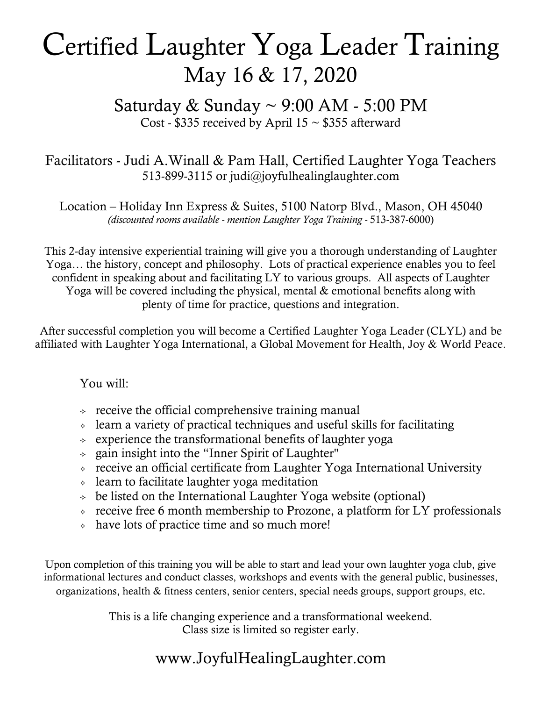## Certified Laughter Yoga Leader Training May 16 & 17, 2020

Saturday  $&$  Sunday  $\sim$  9:00 AM - 5:00 PM Cost - \$335 received by April  $15 \sim $355$  afterward

#### Facilitators - Judi A.Winall & Pam Hall, Certified Laughter Yoga Teachers 513-899-3115 or judi@joyfulhealinglaughter.com

Location – Holiday Inn Express & Suites, 5100 Natorp Blvd., Mason, OH 45040 *(discounted rooms available - mention Laughter Yoga Training -* 513-387-6000)

This 2-day intensive experiential training will give you a thorough understanding of Laughter Yoga… the history, concept and philosophy. Lots of practical experience enables you to feel confident in speaking about and facilitating LY to various groups. All aspects of Laughter Yoga will be covered including the physical, mental & emotional benefits along with plenty of time for practice, questions and integration.

After successful completion you will become a Certified Laughter Yoga Leader (CLYL) and be affiliated with Laughter Yoga International, a Global Movement for Health, Joy & World Peace.

You will:

- $\div$  receive the official comprehensive training manual
- $\triangle$  learn a variety of practical techniques and useful skills for facilitating
- $\triangle$  experience the transformational benefits of laughter yoga
- $\phi$  gain insight into the "Inner Spirit of Laughter"
- $\rightarrow$  receive an official certificate from Laughter Yoga International University
- $\triangle$  learn to facilitate laughter yoga meditation
- $\rightarrow$  be listed on the International Laughter Yoga website (optional)
- $\div$  receive free 6 month membership to Prozone, a platform for LY professionals
- $\lozenge$  have lots of practice time and so much more!

Upon completion of this training you will be able to start and lead your own laughter yoga club, give informational lectures and conduct classes, workshops and events with the general public, businesses, organizations, health & fitness centers, senior centers, special needs groups, support groups, etc.

> This is a life changing experience and a transformational weekend. Class size is limited so register early.

### www.JoyfulHealingLaughter.com